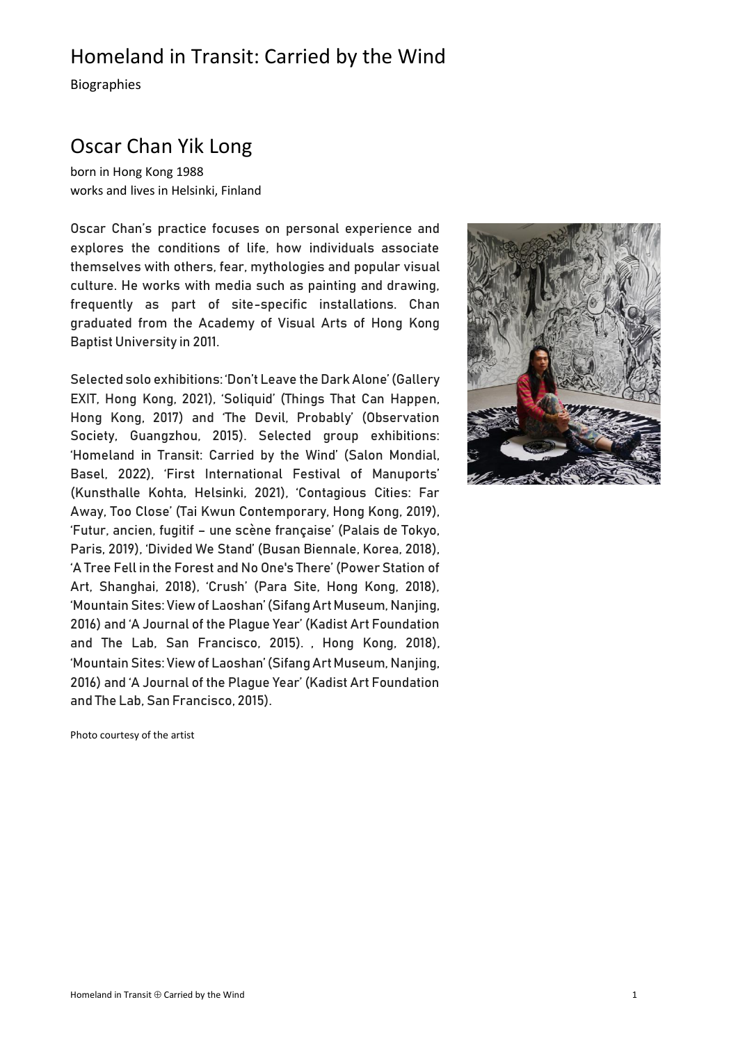Biographies

## Oscar Chan Yik Long

born in Hong Kong 1988 works and lives in Helsinki, Finland

Oscar Chan's practice focuses on personal experience and explores the conditions of life, how individuals associate themselves with others, fear, mythologies and popular visual culture. He works with media such as painting and drawing, frequently as part of site-specific installations. Chan graduated from the Academy of Visual Arts of Hong Kong Baptist University in 2011.

Selected solo exhibitions: 'Don't Leave the Dark Alone' (Gallery EXIT, Hong Kong, 2021), 'Soliquid' (Things That Can Happen, Hong Kong, 2017) and 'The Devil, Probably' (Observation Society, Guangzhou, 2015). Selected group exhibitions: 'Homeland in Transit: Carried by the Wind' (Salon Mondial, Basel, 2022), 'First International Festival of Manuports' (Kunsthalle Kohta, Helsinki, 2021), 'Contagious Cities: Far Away, Too Close' (Tai Kwun Contemporary, Hong Kong, 2019), 'Futur, ancien, fugitif – une scène française' (Palais de Tokyo, Paris, 2019), 'Divided We Stand' (Busan Biennale, Korea, 2018), 'A Tree Fell in the Forest and No One's There' (Power Station of Art, Shanghai, 2018), 'Crush' (Para Site, Hong Kong, 2018), 'Mountain Sites: View of Laoshan' (Sifang Art Museum, Nanjing, 2016) and 'A Journal of the Plague Year' (Kadist Art Foundation and The Lab, San Francisco, 2015). , Hong Kong, 2018), 'Mountain Sites: View of Laoshan' (Sifang Art Museum, Nanjing, 2016) and 'A Journal of the Plague Year' (Kadist Art Foundation and The Lab, San Francisco, 2015).



Photo courtesy of the artist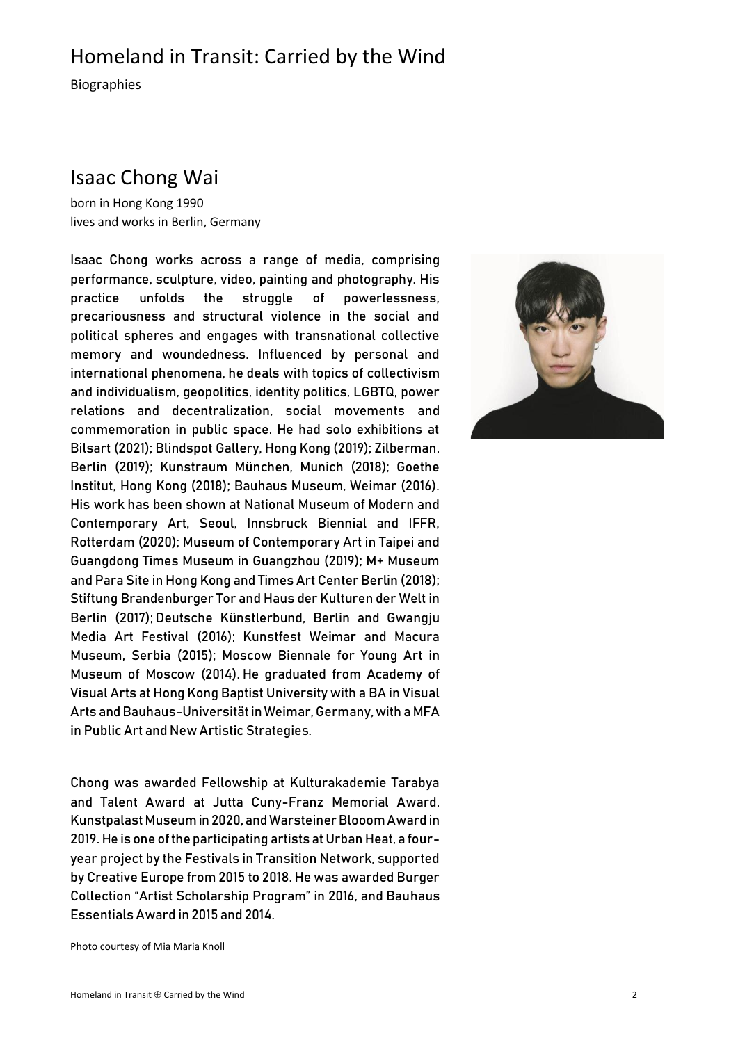Biographies

#### Isaac Chong Wai

born in Hong Kong 1990 lives and works in Berlin, Germany

Isaac Chong works across a range of media, comprising performance, sculpture, video, painting and photography. His practice unfolds the struggle of powerlessness, precariousness and structural violence in the social and political spheres and engages with transnational collective memory and woundedness. Influenced by personal and international phenomena, he deals with topics of collectivism and individualism, geopolitics, identity politics, LGBTQ, power relations and decentralization, social movements and commemoration in public space. He had solo exhibitions at Bilsart (2021); Blindspot Gallery, Hong Kong (2019); Zilberman, Berlin (2019); Kunstraum München, Munich (2018); Goethe Institut, Hong Kong (2018); Bauhaus Museum, Weimar (2016). His work has been shown at National Museum of Modern and Contemporary Art, Seoul, Innsbruck Biennial and IFFR, Rotterdam (2020); Museum of Contemporary Art in Taipei and Guangdong Times Museum in Guangzhou (2019); M+ Museum and Para Site in Hong Kong and Times Art Center Berlin (2018); Stiftung Brandenburger Tor and Haus der Kulturen der Welt in Berlin (2017); Deutsche Künstlerbund, Berlin and Gwangju Media Art Festival (2016); Kunstfest Weimar and Macura Museum, Serbia (2015); Moscow Biennale for Young Art in Museum of Moscow (2014). He graduated from Academy of Visual Arts at Hong Kong Baptist University with a BA in Visual Arts and Bauhaus-Universität in Weimar, Germany, with a MFA in Public Art and New Artistic Strategies.

Chong was awarded Fellowship at Kulturakademie Tarabya and Talent Award at Jutta Cuny-Franz Memorial Award, Kunstpalast Museum in 2020, and Warsteiner BlooomAward in 2019. He is one of the participating artists at Urban Heat, a fouryear project by the Festivals in Transition Network, supported by Creative Europe from 2015 to 2018. He was awarded Burger Collection "Artist Scholarship Program" in 2016, and Bauhaus Essentials Award in 2015 and 2014.



Photo courtesy of Mia Maria Knoll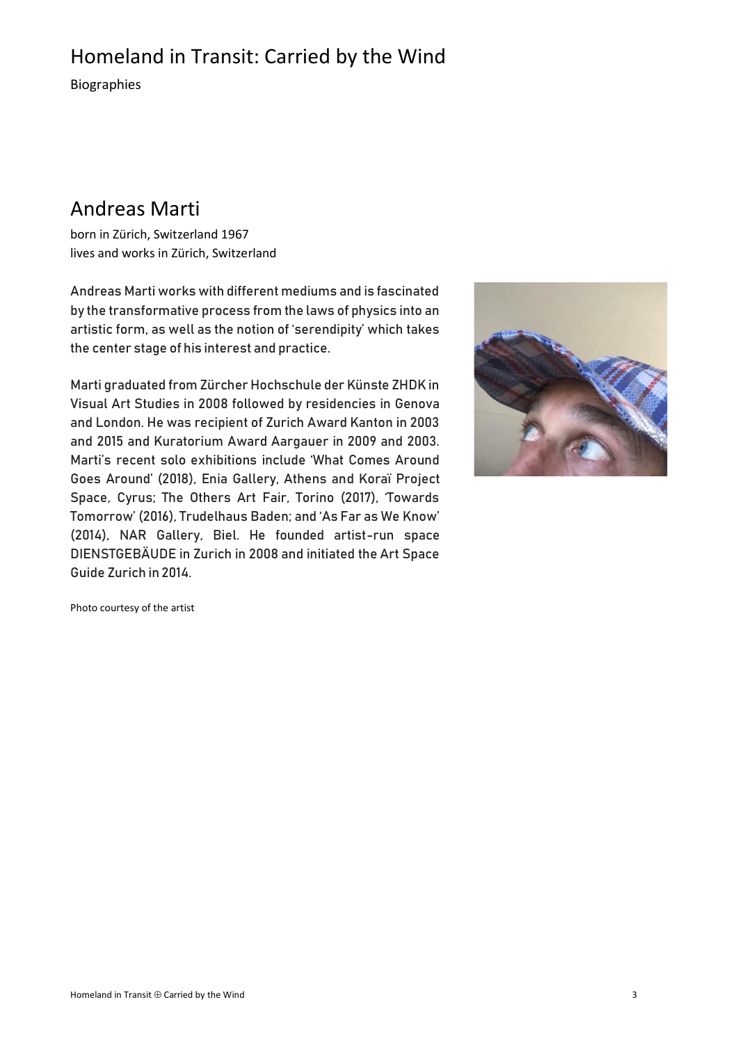Biographies

## Andreas Marti

born in Zürich, Switzerland 1967 lives and works in Zürich, Switzerland

Andreas Marti works with different mediums and is fascinated by the transformative process from the laws of physics into an artistic form, as well as the notion of 'serendipity' which takes the center stage of his interest and practice.

Marti graduated from Zürcher Hochschule der Künste ZHDK in Visual Art Studies in 2008 followed by residencies in Genova and London. He was recipient of Zurich Award Kanton in 2003 and 2015 and Kuratorium Award Aargauer in 2009 and 2003. Marti's recent solo exhibitions include 'What Comes Around Goes Around' (2018), Enia Gallery, Athens and Koraï Project Space, Cyrus; The Others Art Fair, Torino (2017), 'Towards Tomorrow' (2016), Trudelhaus Baden; and 'As Far as We Know' (2014), NAR Gallery, Biel. He founded artist-run space DIENSTGEBÄUDE in Zurich in 2008 and initiated the Art Space Guide Zurich in 2014.



Photo courtesy of the artist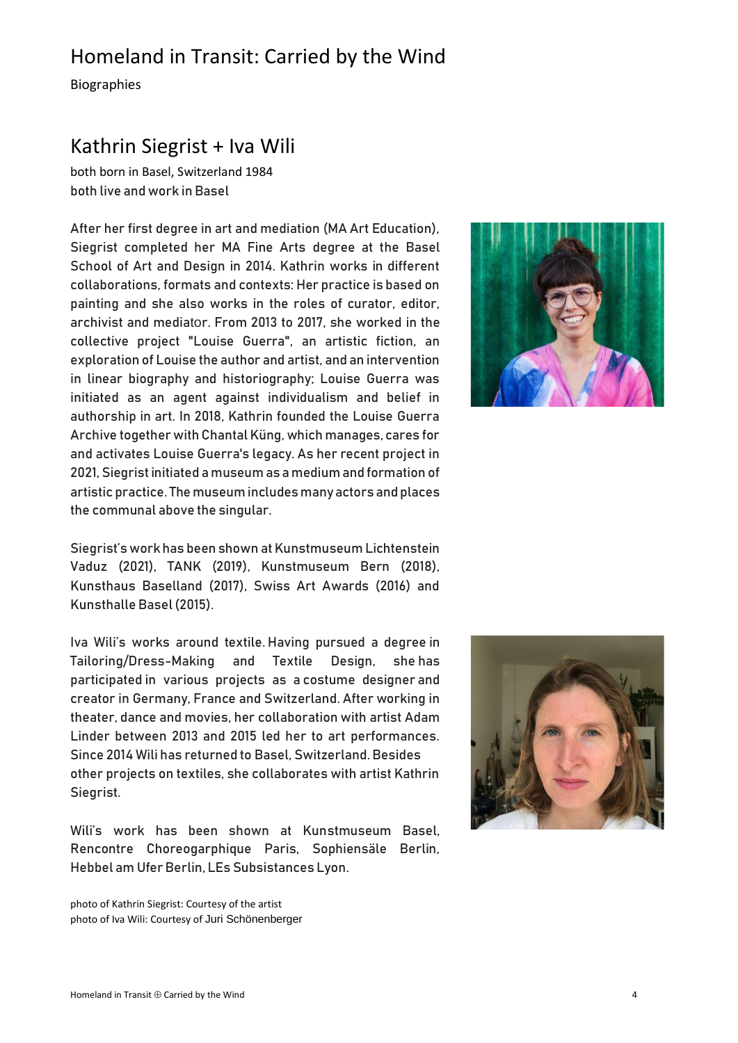Biographies

#### Kathrin Siegrist + Iva Wili

both born in Basel, Switzerland 1984 both live and work in Basel

After her first degree in art and mediation (MA Art Education), Siegrist completed her MA Fine Arts degree at the Basel School of Art and Design in 2014. Kathrin works in different collaborations, formats and contexts: Her practice is based on painting and she also works in the roles of curator, editor, archivist and mediator. From 2013 to 2017, she worked in the collective project "Louise Guerra", an artistic fiction, an exploration of Louise the author and artist, and an intervention in linear biography and historiography; Louise Guerra was initiated as an agent against individualism and belief in authorship in art. In 2018, Kathrin founded the Louise Guerra Archive together with Chantal Küng, which manages, cares for and activates Louise Guerra's legacy. As her recent project in 2021, Siegrist initiated a museum as a medium and formation of artistic practice. The museum includes many actors and places the communal above the singular.

Siegrist's work has been shown at Kunstmuseum Lichtenstein Vaduz (2021), TANK (2019), Kunstmuseum Bern (2018), Kunsthaus Baselland (2017), Swiss Art Awards (2016) and Kunsthalle Basel (2015).

Iva Wili's works around textile. Having pursued a degree in Tailoring/Dress-Making and Textile Design, she has participated in various projects as a costume designer and creator in Germany, France and Switzerland. After working in theater, dance and movies, her collaboration with artist Adam Linder between 2013 and 2015 led her to art performances. Since 2014 Wili has returned to Basel, Switzerland. Besides other projects on textiles, she collaborates with artist Kathrin Siegrist.

Wili's work has been shown at Kunstmuseum Basel, Rencontre Choreogarphique Paris, Sophiensäle Berlin, Hebbel am Ufer Berlin, LEs Subsistances Lyon.

photo of Kathrin Siegrist: Courtesy of the artist photo of Iva Wili: Courtesy of Juri Schönenberger



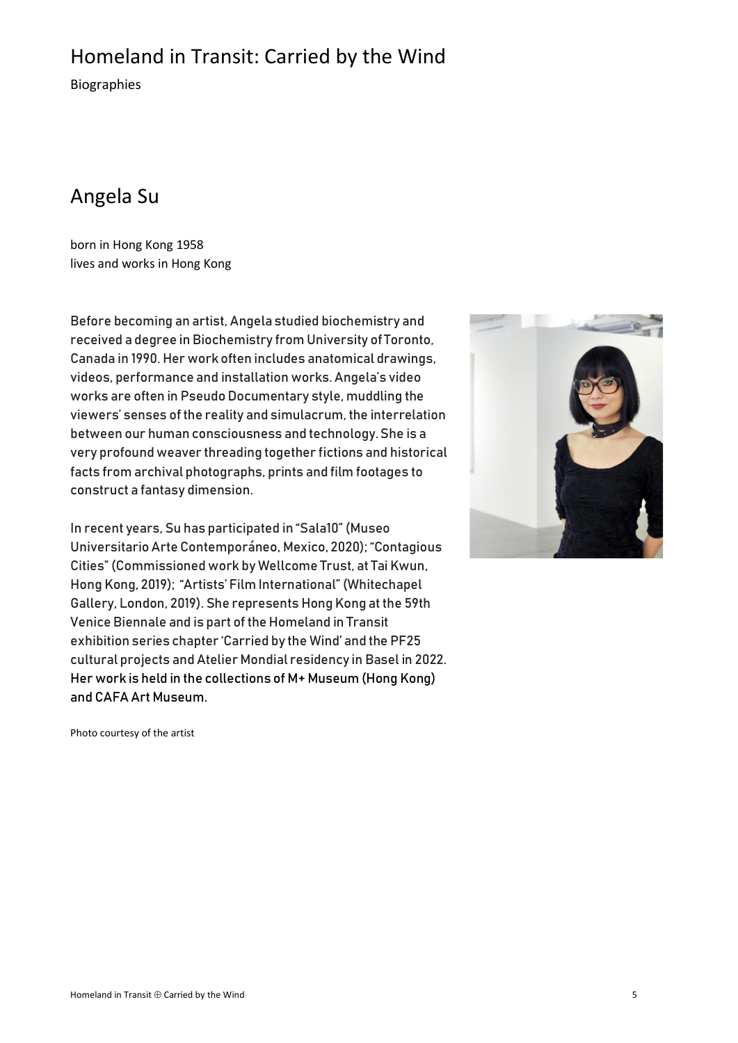Biographies

## Angela Su

born in Hong Kong 1958 lives and works in Hong Kong

Before becoming an artist, Angela studied biochemistry and received a degree in Biochemistry from University of Toronto, Canada in 1990. Her work often includes anatomical drawings, videos, performance and installation works. Angela's video works are often in Pseudo Documentary style, muddling the viewers' senses of the reality and simulacrum, the interrelation between our human consciousness and technology. She is a very profound weaver threading together fictions and historical facts from archival photographs, prints and film footages to construct a fantasy dimension.

In recent years, Su has participated in "Sala10" (Museo Universitario Arte Contemporáneo, Mexico, 2020); "Contagious Cities" (Commissioned work by Wellcome Trust, at Tai Kwun, Hong Kong, 2019); "Artists' Film International" (Whitechapel Gallery, London, 2019). She represents Hong Kong at the 59th Venice Biennale and is part of the Homeland in Transit exhibition series chapter 'Carried by the Wind' and the PF25 cultural projects and Atelier Mondial residency in Basel in 2022. Her work is held in the collections of M+ Museum (Hong Kong) and CAFA Art Museum.



Photo courtesy of the artist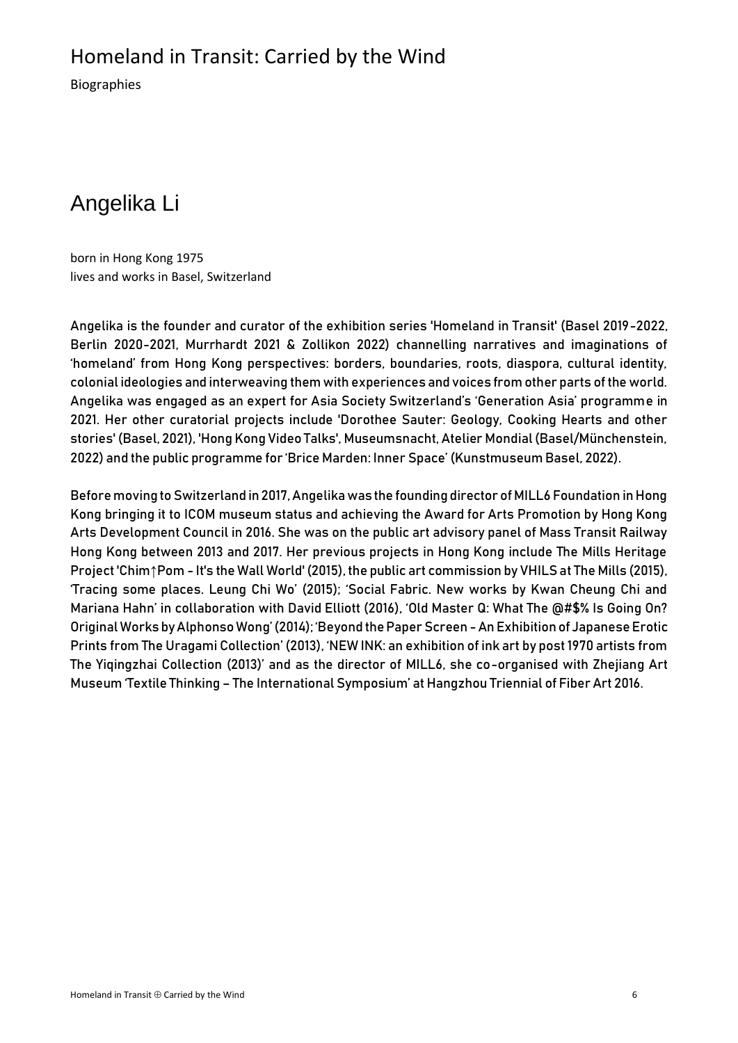Biographies

# Angelika Li

born in Hong Kong 1975 lives and works in Basel, Switzerland

Angelika is the founder and curator of the exhibition series 'Homeland in Transit' (Basel 2019-2022, Berlin 2020-2021, Murrhardt 2021 & Zollikon 2022) channelling narratives and imaginations of 'homeland' from Hong Kong perspectives: borders, boundaries, roots, diaspora, cultural identity, colonial ideologies and interweaving them with experiences and voices from other parts of the world. Angelika was engaged as an expert for Asia Society Switzerland's 'Generation Asia' programme in 2021. Her other curatorial projects include 'Dorothee Sauter: Geology, Cooking Hearts and other stories' (Basel, 2021), 'Hong Kong Video Talks', Museumsnacht, Atelier Mondial (Basel/Münchenstein, 2022) and the public programme for 'Brice Marden: Inner Space' (Kunstmuseum Basel, 2022).

Before moving to Switzerland in 2017, Angelika was the founding director of MILL6 Foundation in Hong Kong bringing it to ICOM museum status and achieving the Award for Arts Promotion by Hong Kong Arts Development Council in 2016. She was on the public art advisory panel of Mass Transit Railway Hong Kong between 2013 and 2017. Her previous projects in Hong Kong include The Mills Heritage Project 'Chim↑Pom - It's the Wall World' (2015), the public art commission by VHILS at The Mills (2015), 'Tracing some places. Leung Chi Wo' (2015); 'Social Fabric. New works by Kwan Cheung Chi and Mariana Hahn' in collaboration with David Elliott (2016), 'Old Master Q: What The @#\$% Is Going On? Original Works by Alphonso Wong' (2014); 'Beyond the Paper Screen -An Exhibition of Japanese Erotic Prints from The Uragami Collection' (2013), 'NEW INK: an exhibition of ink art by post 1970 artists from The Yiqingzhai Collection (2013)' and as the director of MILL6, she co-organised with Zhejiang Art Museum 'Textile Thinking – The International Symposium' at Hangzhou Triennial of Fiber Art 2016.